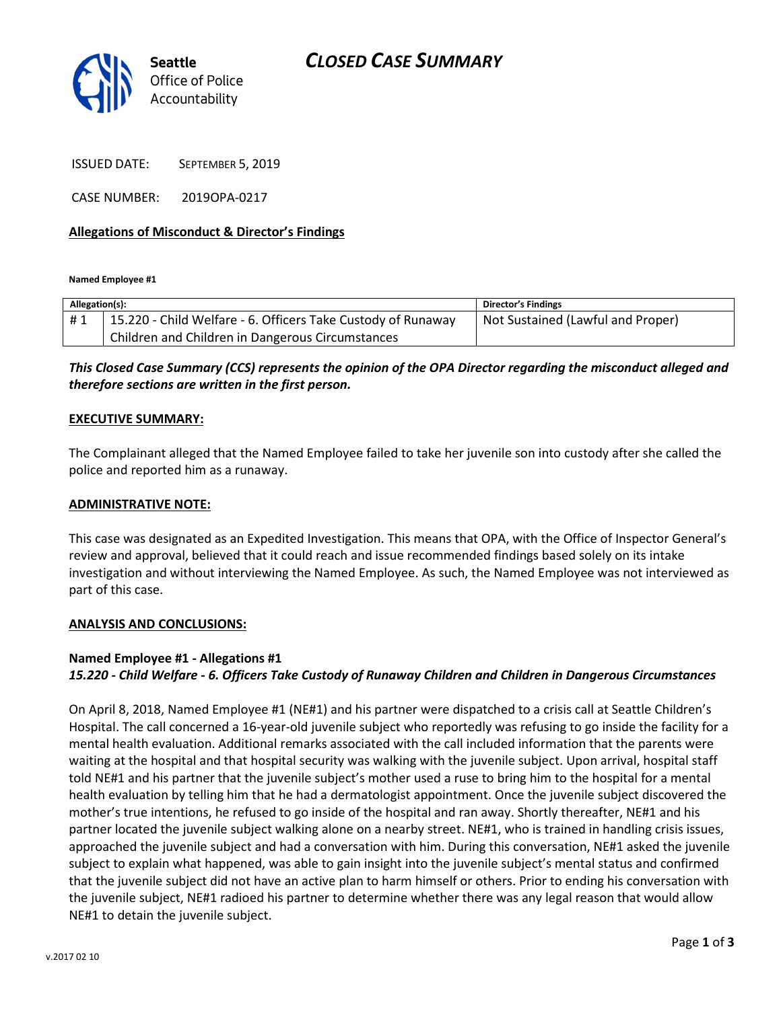

ISSUED DATE: SEPTEMBER 5, 2019

CASE NUMBER: 2019OPA-0217

#### Allegations of Misconduct & Director's Findings

Named Employee #1

| Allegation(s): |                                                              | <b>Director's Findings</b>        |
|----------------|--------------------------------------------------------------|-----------------------------------|
| #1             | 15.220 - Child Welfare - 6. Officers Take Custody of Runaway | Not Sustained (Lawful and Proper) |
|                | Children and Children in Dangerous Circumstances             |                                   |

This Closed Case Summary (CCS) represents the opinion of the OPA Director regarding the misconduct alleged and therefore sections are written in the first person.

#### EXECUTIVE SUMMARY:

The Complainant alleged that the Named Employee failed to take her juvenile son into custody after she called the police and reported him as a runaway.

#### ADMINISTRATIVE NOTE:

This case was designated as an Expedited Investigation. This means that OPA, with the Office of Inspector General's review and approval, believed that it could reach and issue recommended findings based solely on its intake investigation and without interviewing the Named Employee. As such, the Named Employee was not interviewed as part of this case.

#### ANALYSIS AND CONCLUSIONS:

### Named Employee #1 - Allegations #1 15.220 - Child Welfare - 6. Officers Take Custody of Runaway Children and Children in Dangerous Circumstances

On April 8, 2018, Named Employee #1 (NE#1) and his partner were dispatched to a crisis call at Seattle Children's Hospital. The call concerned a 16-year-old juvenile subject who reportedly was refusing to go inside the facility for a mental health evaluation. Additional remarks associated with the call included information that the parents were waiting at the hospital and that hospital security was walking with the juvenile subject. Upon arrival, hospital staff told NE#1 and his partner that the juvenile subject's mother used a ruse to bring him to the hospital for a mental health evaluation by telling him that he had a dermatologist appointment. Once the juvenile subject discovered the mother's true intentions, he refused to go inside of the hospital and ran away. Shortly thereafter, NE#1 and his partner located the juvenile subject walking alone on a nearby street. NE#1, who is trained in handling crisis issues, approached the juvenile subject and had a conversation with him. During this conversation, NE#1 asked the juvenile subject to explain what happened, was able to gain insight into the juvenile subject's mental status and confirmed that the juvenile subject did not have an active plan to harm himself or others. Prior to ending his conversation with the juvenile subject, NE#1 radioed his partner to determine whether there was any legal reason that would allow NE#1 to detain the juvenile subject.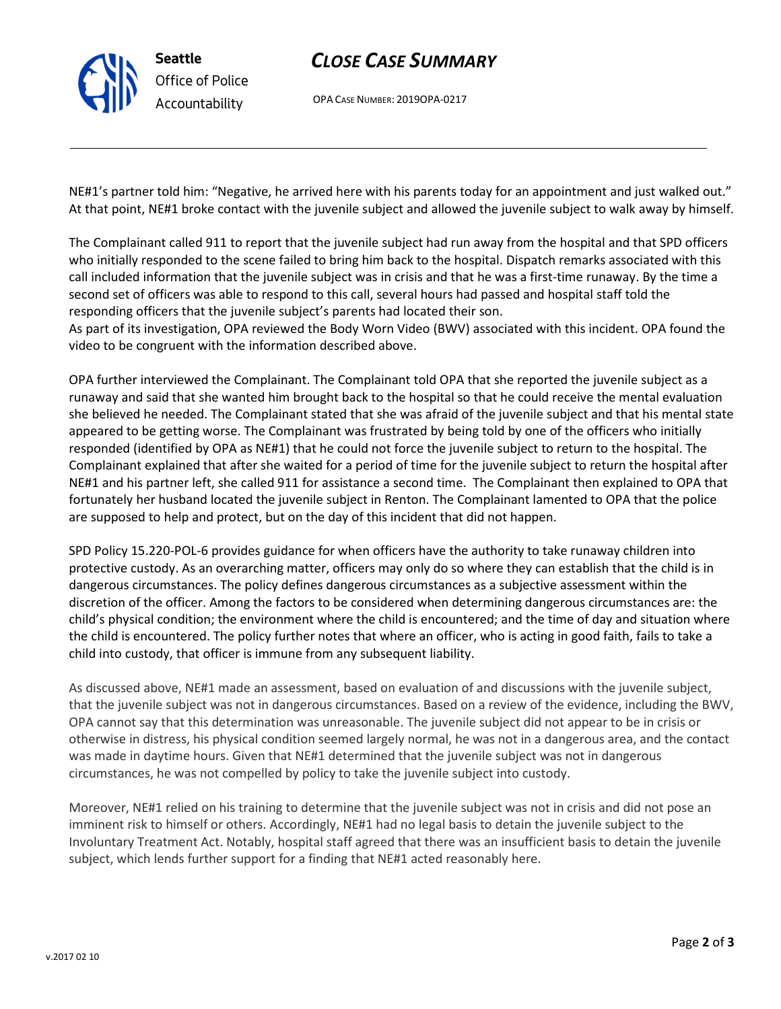## CLOSE CASE SUMMARY

OPA CASE NUMBER: 2019OPA-0217

NE#1's partner told him: "Negative, he arrived here with his parents today for an appointment and just walked out." At that point, NE#1 broke contact with the juvenile subject and allowed the juvenile subject to walk away by himself.

The Complainant called 911 to report that the juvenile subject had run away from the hospital and that SPD officers who initially responded to the scene failed to bring him back to the hospital. Dispatch remarks associated with this call included information that the juvenile subject was in crisis and that he was a first-time runaway. By the time a second set of officers was able to respond to this call, several hours had passed and hospital staff told the responding officers that the juvenile subject's parents had located their son.

As part of its investigation, OPA reviewed the Body Worn Video (BWV) associated with this incident. OPA found the video to be congruent with the information described above.

OPA further interviewed the Complainant. The Complainant told OPA that she reported the juvenile subject as a runaway and said that she wanted him brought back to the hospital so that he could receive the mental evaluation she believed he needed. The Complainant stated that she was afraid of the juvenile subject and that his mental state appeared to be getting worse. The Complainant was frustrated by being told by one of the officers who initially responded (identified by OPA as NE#1) that he could not force the juvenile subject to return to the hospital. The Complainant explained that after she waited for a period of time for the juvenile subject to return the hospital after NE#1 and his partner left, she called 911 for assistance a second time. The Complainant then explained to OPA that fortunately her husband located the juvenile subject in Renton. The Complainant lamented to OPA that the police are supposed to help and protect, but on the day of this incident that did not happen.

SPD Policy 15.220-POL-6 provides guidance for when officers have the authority to take runaway children into protective custody. As an overarching matter, officers may only do so where they can establish that the child is in dangerous circumstances. The policy defines dangerous circumstances as a subjective assessment within the discretion of the officer. Among the factors to be considered when determining dangerous circumstances are: the child's physical condition; the environment where the child is encountered; and the time of day and situation where the child is encountered. The policy further notes that where an officer, who is acting in good faith, fails to take a child into custody, that officer is immune from any subsequent liability.

As discussed above, NE#1 made an assessment, based on evaluation of and discussions with the juvenile subject, that the juvenile subject was not in dangerous circumstances. Based on a review of the evidence, including the BWV, OPA cannot say that this determination was unreasonable. The juvenile subject did not appear to be in crisis or otherwise in distress, his physical condition seemed largely normal, he was not in a dangerous area, and the contact was made in daytime hours. Given that NE#1 determined that the juvenile subject was not in dangerous circumstances, he was not compelled by policy to take the juvenile subject into custody.

Moreover, NE#1 relied on his training to determine that the juvenile subject was not in crisis and did not pose an imminent risk to himself or others. Accordingly, NE#1 had no legal basis to detain the juvenile subject to the Involuntary Treatment Act. Notably, hospital staff agreed that there was an insufficient basis to detain the juvenile subject, which lends further support for a finding that NE#1 acted reasonably here.



Seattle

Office of Police Accountability